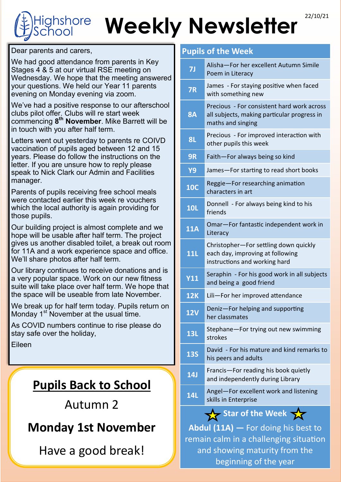## Weekly Newsletter<sup>22/10/21</sup> ghshore

Dear parents and carers,

We had good attendance from parents in Key Stages 4 & 5 at our virtual RSE meeting on Wednesday. We hope that the meeting answered your questions. We held our Year 11 parents evening on Monday evening via zoom.

We've had a positive response to our afterschool clubs pilot offer. Clubs will re start week commencing **8 th November**. Mike Barrett will be in touch with you after half term.

Letters went out yesterday to parents re COIVD vaccination of pupils aged between 12 and 15 years. Please do follow the instructions on the letter. If you are unsure how to reply please speak to Nick Clark our Admin and Facilities manager.

Parents of pupils receiving free school meals were contacted earlier this week re vouchers which the local authority is again providing for those pupils.

Our building project is almost complete and we hope will be usable after half term. The project gives us another disabled toilet, a break out room for 11A and a work experience space and office. We'll share photos after half term.

Our library continues to receive donations and is a very popular space. Work on our new fitness suite will take place over half term. We hope that the space will be useable from late November.

We break up for half term today. Pupils return on Monday  $1<sup>st</sup>$  November at the usual time.

As COVID numbers continue to rise please do stay safe over the holiday,

Eileen

#### **Pupils Back to School**

#### Autumn 2

### **Monday 1st November**

Have a good break!

#### **Pupils of the Week**

| <b>7J</b>               | Alisha-For her excellent Autumn Simile<br>Poem in Literacy                                                     |
|-------------------------|----------------------------------------------------------------------------------------------------------------|
| <b>7R</b>               | James - For staying positive when faced<br>with something new                                                  |
| <b>8A</b>               | Precious - For consistent hard work across<br>all subjects, making particular progress in<br>maths and singing |
| <b>8L</b>               | Precious - For improved interaction with<br>other pupils this week                                             |
| 9R                      | Faith-For always being so kind                                                                                 |
| <b>Y9</b>               | James-For starting to read short books                                                                         |
| <b>10C</b>              | Reggie-For researching animation<br>characters in art                                                          |
| <b>10L</b>              | Donnell - For always being kind to his<br>friends                                                              |
| 11A                     | Omar-For fantastic independent work in<br>Literacy                                                             |
| <b>11L</b>              | Christopher-For settling down quickly<br>each day, improving at following<br>instructions and working hard     |
| <b>Y11</b>              | Seraphin - For his good work in all subjects<br>and being a good friend                                        |
| <b>12K</b>              | Lili-For her improved attendance                                                                               |
| <b>12V</b>              | Deniz-For helping and supporting<br>her classmates                                                             |
| <b>13L</b>              | Stephane-For trying out new swimming<br>strokes                                                                |
| <b>13S</b>              | David - For his mature and kind remarks to<br>his peers and adults                                             |
| 14J                     | Francis-For reading his book quietly<br>and independently during Library                                       |
| <b>14L</b>              | Angel-For excellent work and listening<br>skills in Enterprise                                                 |
| Star of the Week $\sum$ |                                                                                                                |

**Abdul (11A) —** For doing his best to remain calm in a challenging situation and showing maturity from the beginning of the year